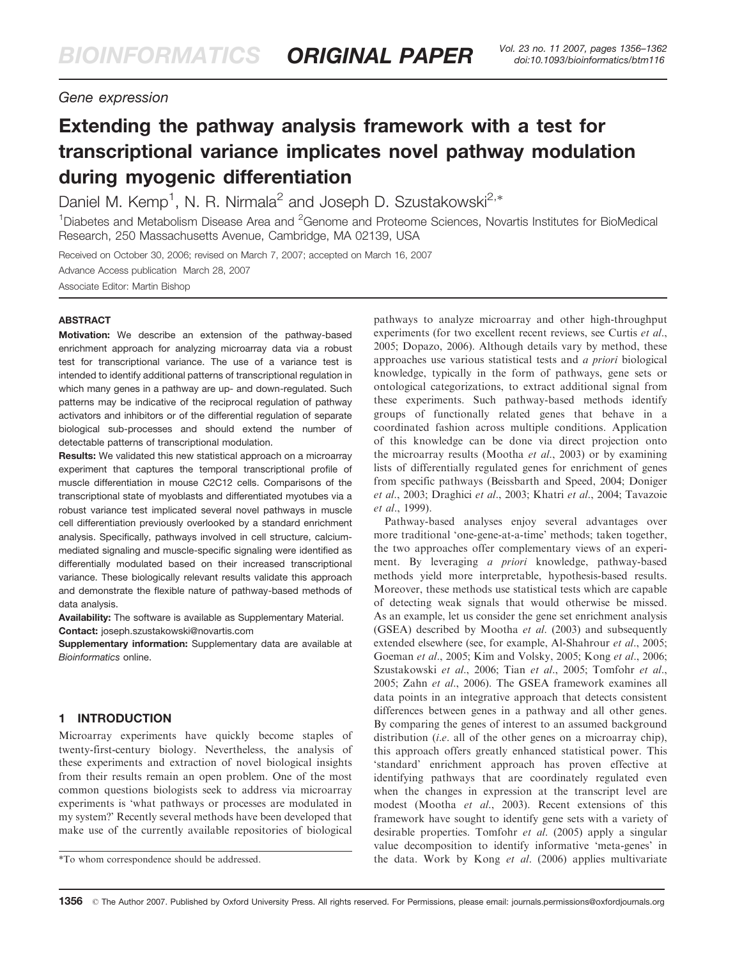# Gene expression

# Extending the pathway analysis framework with a test for transcriptional variance implicates novel pathway modulation during myogenic differentiation

Daniel M. Kemp<sup>1</sup>, N. R. Nirmala<sup>2</sup> and Joseph D. Szustakowski<sup>2,\*</sup>

<sup>1</sup>Diabetes and Metabolism Disease Area and <sup>2</sup>Genome and Proteome Sciences, Novartis Institutes for BioMedical Research, 250 Massachusetts Avenue, Cambridge, MA 02139, USA

Received on October 30, 2006; revised on March 7, 2007; accepted on March 16, 2007 Advance Access publication March 28, 2007 Associate Editor: Martin Bishop

### **ABSTRACT**

Motivation: We describe an extension of the pathway-based enrichment approach for analyzing microarray data via a robust test for transcriptional variance. The use of a variance test is intended to identify additional patterns of transcriptional regulation in which many genes in a pathway are up- and down-regulated. Such patterns may be indicative of the reciprocal regulation of pathway activators and inhibitors or of the differential regulation of separate biological sub-processes and should extend the number of detectable patterns of transcriptional modulation.

Results: We validated this new statistical approach on a microarray experiment that captures the temporal transcriptional profile of muscle differentiation in mouse C2C12 cells. Comparisons of the transcriptional state of myoblasts and differentiated myotubes via a robust variance test implicated several novel pathways in muscle cell differentiation previously overlooked by a standard enrichment analysis. Specifically, pathways involved in cell structure, calciummediated signaling and muscle-specific signaling were identified as differentially modulated based on their increased transcriptional variance. These biologically relevant results validate this approach and demonstrate the flexible nature of pathway-based methods of data analysis.

Availability: The software is available as Supplementary Material. Contact: joseph.szustakowski@novartis.com

Supplementary information: Supplementary data are available at Bioinformatics online.

# 1 INTRODUCTION

Microarray experiments have quickly become staples of twenty-first-century biology. Nevertheless, the analysis of these experiments and extraction of novel biological insights from their results remain an open problem. One of the most common questions biologists seek to address via microarray experiments is 'what pathways or processes are modulated in my system?' Recently several methods have been developed that make use of the currently available repositories of biological

pathways to analyze microarray and other high-throughput experiments (for two excellent recent reviews, see Curtis et al., 2005; Dopazo, 2006). Although details vary by method, these approaches use various statistical tests and a priori biological knowledge, typically in the form of pathways, gene sets or ontological categorizations, to extract additional signal from these experiments. Such pathway-based methods identify groups of functionally related genes that behave in a coordinated fashion across multiple conditions. Application of this knowledge can be done via direct projection onto the microarray results (Mootha et al., 2003) or by examining lists of differentially regulated genes for enrichment of genes from specific pathways (Beissbarth and Speed, 2004; Doniger et al., 2003; Draghici et al., 2003; Khatri et al., 2004; Tavazoie et al., 1999).

Pathway-based analyses enjoy several advantages over more traditional 'one-gene-at-a-time' methods; taken together, the two approaches offer complementary views of an experiment. By leveraging a priori knowledge, pathway-based methods yield more interpretable, hypothesis-based results. Moreover, these methods use statistical tests which are capable of detecting weak signals that would otherwise be missed. As an example, let us consider the gene set enrichment analysis (GSEA) described by Mootha et al. (2003) and subsequently extended elsewhere (see, for example, Al-Shahrour et al., 2005; Goeman et al., 2005; Kim and Volsky, 2005; Kong et al., 2006; Szustakowski et al., 2006; Tian et al., 2005; Tomfohr et al., 2005; Zahn et al., 2006). The GSEA framework examines all data points in an integrative approach that detects consistent differences between genes in a pathway and all other genes. By comparing the genes of interest to an assumed background distribution *(i.e.* all of the other genes on a microarray chip), this approach offers greatly enhanced statistical power. This 'standard' enrichment approach has proven effective at identifying pathways that are coordinately regulated even when the changes in expression at the transcript level are modest (Mootha et al., 2003). Recent extensions of this framework have sought to identify gene sets with a variety of desirable properties. Tomfohr et al. (2005) apply a singular value decomposition to identify informative 'meta-genes' in \*To whom correspondence should be addressed. the data. Work by Kong et al. (2006) applies multivariate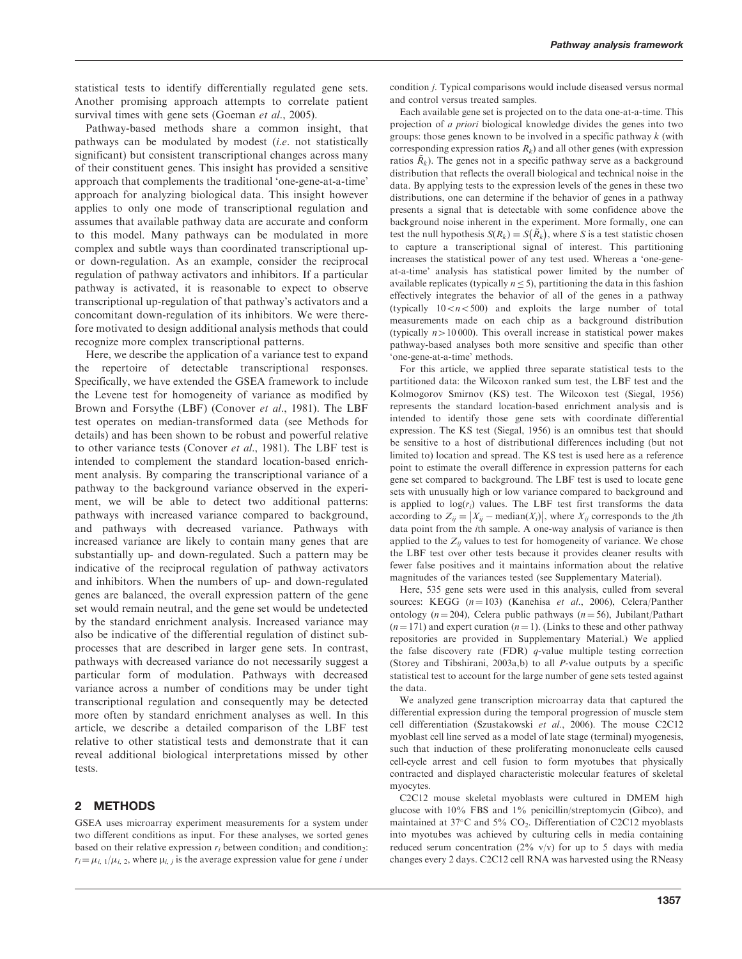statistical tests to identify differentially regulated gene sets. Another promising approach attempts to correlate patient survival times with gene sets (Goeman *et al.*, 2005).

Pathway-based methods share a common insight, that pathways can be modulated by modest (i.e. not statistically significant) but consistent transcriptional changes across many of their constituent genes. This insight has provided a sensitive approach that complements the traditional 'one-gene-at-a-time' approach for analyzing biological data. This insight however applies to only one mode of transcriptional regulation and assumes that available pathway data are accurate and conform to this model. Many pathways can be modulated in more complex and subtle ways than coordinated transcriptional upor down-regulation. As an example, consider the reciprocal regulation of pathway activators and inhibitors. If a particular pathway is activated, it is reasonable to expect to observe transcriptional up-regulation of that pathway's activators and a concomitant down-regulation of its inhibitors. We were therefore motivated to design additional analysis methods that could recognize more complex transcriptional patterns.

Here, we describe the application of a variance test to expand the repertoire of detectable transcriptional responses. Specifically, we have extended the GSEA framework to include the Levene test for homogeneity of variance as modified by Brown and Forsythe (LBF) (Conover et al., 1981). The LBF test operates on median-transformed data (see Methods for details) and has been shown to be robust and powerful relative to other variance tests (Conover et al., 1981). The LBF test is intended to complement the standard location-based enrichment analysis. By comparing the transcriptional variance of a pathway to the background variance observed in the experiment, we will be able to detect two additional patterns: pathways with increased variance compared to background, and pathways with decreased variance. Pathways with increased variance are likely to contain many genes that are substantially up- and down-regulated. Such a pattern may be indicative of the reciprocal regulation of pathway activators and inhibitors. When the numbers of up- and down-regulated genes are balanced, the overall expression pattern of the gene set would remain neutral, and the gene set would be undetected by the standard enrichment analysis. Increased variance may also be indicative of the differential regulation of distinct subprocesses that are described in larger gene sets. In contrast, pathways with decreased variance do not necessarily suggest a particular form of modulation. Pathways with decreased variance across a number of conditions may be under tight transcriptional regulation and consequently may be detected more often by standard enrichment analyses as well. In this article, we describe a detailed comparison of the LBF test relative to other statistical tests and demonstrate that it can reveal additional biological interpretations missed by other tests.

## 2 METHODS

GSEA uses microarray experiment measurements for a system under two different conditions as input. For these analyses, we sorted genes based on their relative expression  $r_i$  between condition<sub>1</sub> and condition<sub>2</sub>:  $r_i = \mu_{i,1}/\mu_{i,2}$ , where  $\mu_{i,j}$  is the average expression value for gene i under condition j. Typical comparisons would include diseased versus normal and control versus treated samples.

Each available gene set is projected on to the data one-at-a-time. This projection of a priori biological knowledge divides the genes into two groups: those genes known to be involved in a specific pathway  $k$  (with corresponding expression ratios  $R_k$ ) and all other genes (with expression ratios  $R_k$ ). The genes not in a specific pathway serve as a background distribution that reflects the overall biological and technical noise in the data. By applying tests to the expression levels of the genes in these two distributions, one can determine if the behavior of genes in a pathway presents a signal that is detectable with some confidence above the background noise inherent in the experiment. More formally, one can test the null hypothesis  $S(R_k) = S(\tilde{R}_k)$ , where S is a test statistic chosen to capture a transcriptional signal of interest. This partitioning increases the statistical power of any test used. Whereas a 'one-geneat-a-time' analysis has statistical power limited by the number of available replicates (typically  $n \leq 5$ ), partitioning the data in this fashion effectively integrates the behavior of all of the genes in a pathway (typically  $10 < n < 500$ ) and exploits the large number of total measurements made on each chip as a background distribution (typically  $n > 10000$ ). This overall increase in statistical power makes pathway-based analyses both more sensitive and specific than other 'one-gene-at-a-time' methods.

For this article, we applied three separate statistical tests to the partitioned data: the Wilcoxon ranked sum test, the LBF test and the Kolmogorov Smirnov (KS) test. The Wilcoxon test (Siegal, 1956) represents the standard location-based enrichment analysis and is intended to identify those gene sets with coordinate differential expression. The KS test (Siegal, 1956) is an omnibus test that should be sensitive to a host of distributional differences including (but not limited to) location and spread. The KS test is used here as a reference point to estimate the overall difference in expression patterns for each gene set compared to background. The LBF test is used to locate gene sets with unusually high or low variance compared to background and is applied to  $log(r_i)$  values. The LBF test first transforms the data according to  $Z_{ij} = |X_{ij} - \text{median}(X_i)|$ , where  $X_{ij}$  corresponds to the *j*th data point from the ith sample. A one-way analysis of variance is then applied to the  $Z_{ij}$  values to test for homogeneity of variance. We chose the LBF test over other tests because it provides cleaner results with fewer false positives and it maintains information about the relative magnitudes of the variances tested (see Supplementary Material).

Here, 535 gene sets were used in this analysis, culled from several sources: KEGG  $(n = 103)$  (Kanehisa et al., 2006), Celera/Panther ontology ( $n = 204$ ), Celera public pathways ( $n = 56$ ), Jubilant/Pathart  $(n = 171)$  and expert curation  $(n = 1)$ . (Links to these and other pathway repositories are provided in Supplementary Material.) We applied the false discovery rate (FDR)  $q$ -value multiple testing correction (Storey and Tibshirani, 2003a,b) to all P-value outputs by a specific statistical test to account for the large number of gene sets tested against the data.

We analyzed gene transcription microarray data that captured the differential expression during the temporal progression of muscle stem cell differentiation (Szustakowski et al., 2006). The mouse C2C12 myoblast cell line served as a model of late stage (terminal) myogenesis, such that induction of these proliferating mononucleate cells caused cell-cycle arrest and cell fusion to form myotubes that physically contracted and displayed characteristic molecular features of skeletal myocytes.

C2C12 mouse skeletal myoblasts were cultured in DMEM high glucose with 10% FBS and 1% penicillin/streptomycin (Gibco), and maintained at  $37^{\circ}$ C and  $5\%$  CO<sub>2</sub>. Differentiation of C2C12 myoblasts into myotubes was achieved by culturing cells in media containing reduced serum concentration (2% v/v) for up to 5 days with media changes every 2 days. C2C12 cell RNA was harvested using the RNeasy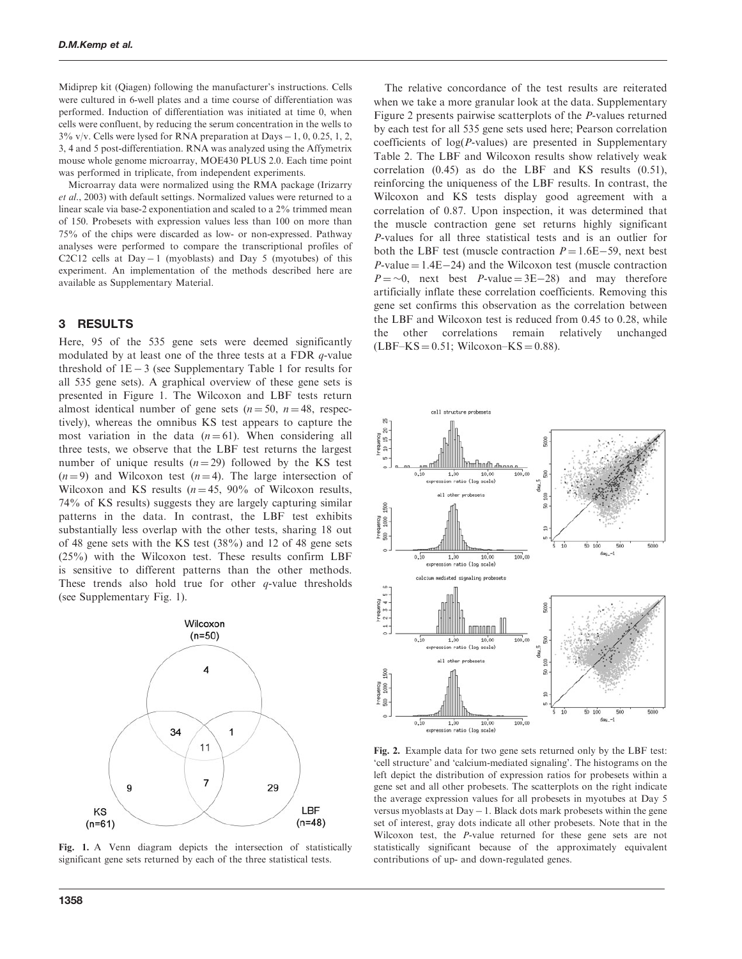Midiprep kit (Qiagen) following the manufacturer's instructions. Cells were cultured in 6-well plates and a time course of differentiation was performed. Induction of differentiation was initiated at time 0, when cells were confluent, by reducing the serum concentration in the wells to  $3\%$  v/v. Cells were lysed for RNA preparation at Days  $-1$ , 0, 0.25, 1, 2, 3, 4 and 5 post-differentiation. RNA was analyzed using the Affymetrix mouse whole genome microarray, MOE430 PLUS 2.0. Each time point was performed in triplicate, from independent experiments.

Microarray data were normalized using the RMA package (Irizarry et al., 2003) with default settings. Normalized values were returned to a linear scale via base-2 exponentiation and scaled to a 2% trimmed mean of 150. Probesets with expression values less than 100 on more than 75% of the chips were discarded as low- or non-expressed. Pathway analyses were performed to compare the transcriptional profiles of C2C12 cells at  $Day - 1$  (myoblasts) and Day 5 (myotubes) of this experiment. An implementation of the methods described here are available as Supplementary Material.

#### 3 RESULTS

Here, 95 of the 535 gene sets were deemed significantly modulated by at least one of the three tests at a FDR q-value threshold of  $1E - 3$  (see Supplementary Table 1 for results for all 535 gene sets). A graphical overview of these gene sets is presented in Figure 1. The Wilcoxon and LBF tests return almost identical number of gene sets  $(n = 50, n = 48, \text{ respectively})$ tively), whereas the omnibus KS test appears to capture the most variation in the data  $(n = 61)$ . When considering all three tests, we observe that the LBF test returns the largest number of unique results  $(n = 29)$  followed by the KS test  $(n = 9)$  and Wilcoxon test  $(n = 4)$ . The large intersection of Wilcoxon and KS results  $(n = 45, 90\%$  of Wilcoxon results, 74% of KS results) suggests they are largely capturing similar patterns in the data. In contrast, the LBF test exhibits substantially less overlap with the other tests, sharing 18 out of 48 gene sets with the KS test (38%) and 12 of 48 gene sets (25%) with the Wilcoxon test. These results confirm LBF is sensitive to different patterns than the other methods. These trends also hold true for other  $q$ -value thresholds (see Supplementary Fig. 1).



Fig. 1. A Venn diagram depicts the intersection of statistically significant gene sets returned by each of the three statistical tests.

The relative concordance of the test results are reiterated when we take a more granular look at the data. Supplementary Figure 2 presents pairwise scatterplots of the P-values returned by each test for all 535 gene sets used here; Pearson correlation coefficients of  $log(P$ -values) are presented in Supplementary Table 2. The LBF and Wilcoxon results show relatively weak correlation (0.45) as do the LBF and KS results (0.51), reinforcing the uniqueness of the LBF results. In contrast, the Wilcoxon and KS tests display good agreement with a correlation of 0.87. Upon inspection, it was determined that the muscle contraction gene set returns highly significant P-values for all three statistical tests and is an outlier for both the LBF test (muscle contraction  $P = 1.6E-59$ , next best  $P$ -value = 1.4E-24) and the Wilcoxon test (muscle contraction  $P = \sim 0$ , next best P-value = 3E-28) and may therefore artificially inflate these correlation coefficients. Removing this gene set confirms this observation as the correlation between the LBF and Wilcoxon test is reduced from 0.45 to 0.28, while the other correlations remain relatively unchanged  $(LBF-KS = 0.51; Wilcoxon-KS = 0.88).$ 



Fig. 2. Example data for two gene sets returned only by the LBF test: 'cell structure' and 'calcium-mediated signaling'. The histograms on the left depict the distribution of expression ratios for probesets within a gene set and all other probesets. The scatterplots on the right indicate the average expression values for all probesets in myotubes at Day 5 versus myoblasts at  $Day - 1$ . Black dots mark probesets within the gene set of interest, gray dots indicate all other probesets. Note that in the Wilcoxon test, the *P*-value returned for these gene sets are not statistically significant because of the approximately equivalent contributions of up- and down-regulated genes.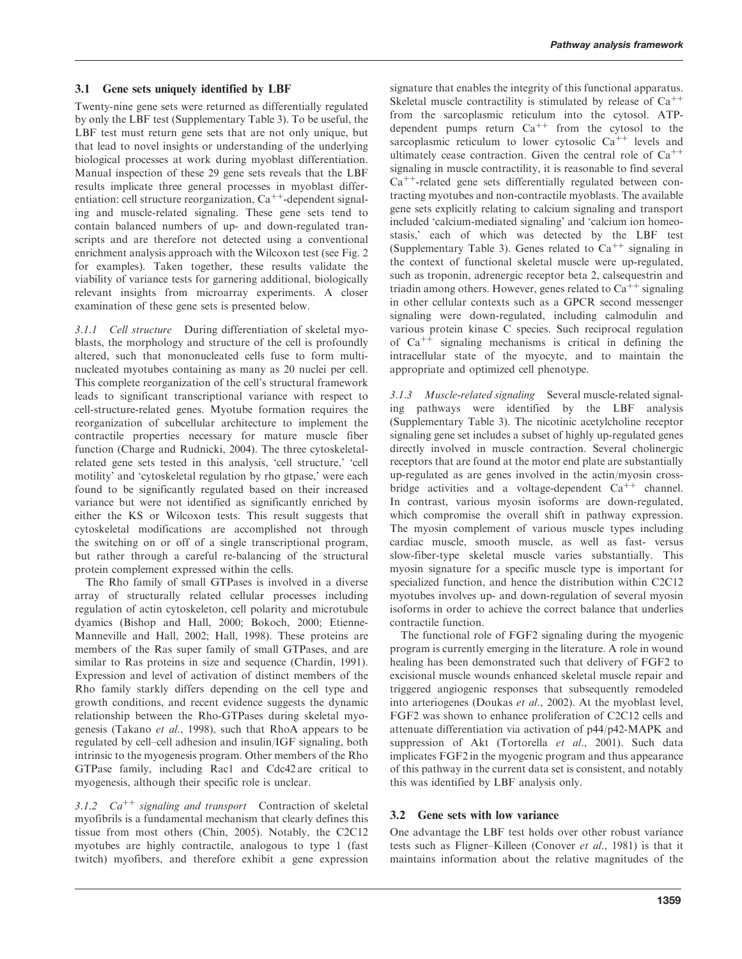#### 3.1 Gene sets uniquely identified by LBF

Twenty-nine gene sets were returned as differentially regulated by only the LBF test (Supplementary Table 3). To be useful, the LBF test must return gene sets that are not only unique, but that lead to novel insights or understanding of the underlying biological processes at work during myoblast differentiation. Manual inspection of these 29 gene sets reveals that the LBF results implicate three general processes in myoblast differentiation: cell structure reorganization,  $Ca^{++}$ -dependent signaling and muscle-related signaling. These gene sets tend to contain balanced numbers of up- and down-regulated transcripts and are therefore not detected using a conventional enrichment analysis approach with the Wilcoxon test (see Fig. 2 for examples). Taken together, these results validate the viability of variance tests for garnering additional, biologically relevant insights from microarray experiments. A closer examination of these gene sets is presented below.

3.1.1 Cell structure During differentiation of skeletal myoblasts, the morphology and structure of the cell is profoundly altered, such that mononucleated cells fuse to form multinucleated myotubes containing as many as 20 nuclei per cell. This complete reorganization of the cell's structural framework leads to significant transcriptional variance with respect to cell-structure-related genes. Myotube formation requires the reorganization of subcellular architecture to implement the contractile properties necessary for mature muscle fiber function (Charge and Rudnicki, 2004). The three cytoskeletalrelated gene sets tested in this analysis, 'cell structure,' 'cell motility' and 'cytoskeletal regulation by rho gtpase,' were each found to be significantly regulated based on their increased variance but were not identified as significantly enriched by either the KS or Wilcoxon tests. This result suggests that cytoskeletal modifications are accomplished not through the switching on or off of a single transcriptional program, but rather through a careful re-balancing of the structural protein complement expressed within the cells.

The Rho family of small GTPases is involved in a diverse array of structurally related cellular processes including regulation of actin cytoskeleton, cell polarity and microtubule dyamics (Bishop and Hall, 2000; Bokoch, 2000; Etienne-Manneville and Hall, 2002; Hall, 1998). These proteins are members of the Ras super family of small GTPases, and are similar to Ras proteins in size and sequence (Chardin, 1991). Expression and level of activation of distinct members of the Rho family starkly differs depending on the cell type and growth conditions, and recent evidence suggests the dynamic relationship between the Rho-GTPases during skeletal myogenesis (Takano et al., 1998), such that RhoA appears to be regulated by cell–cell adhesion and insulin/IGF signaling, both intrinsic to the myogenesis program. Other members of the Rho GTPase family, including Rac1 and Cdc42 are critical to myogenesis, although their specific role is unclear.

3.1.2  $Ca^{++}$  signaling and transport Contraction of skeletal myofibrils is a fundamental mechanism that clearly defines this tissue from most others (Chin, 2005). Notably, the C2C12 myotubes are highly contractile, analogous to type 1 (fast twitch) myofibers, and therefore exhibit a gene expression

signature that enables the integrity of this functional apparatus. Skeletal muscle contractility is stimulated by release of  $Ca^{++}$ from the sarcoplasmic reticulum into the cytosol. ATPdependent pumps return  $Ca^{++}$  from the cytosol to the sarcoplasmic reticulum to lower cytosolic  $Ca^{++}$  levels and ultimately cease contraction. Given the central role of  $Ca^{++}$ signaling in muscle contractility, it is reasonable to find several  $Ca^{++}$ -related gene sets differentially regulated between contracting myotubes and non-contractile myoblasts. The available gene sets explicitly relating to calcium signaling and transport included 'calcium-mediated signaling' and 'calcium ion homeostasis,' each of which was detected by the LBF test (Supplementary Table 3). Genes related to  $Ca^{++}$  signaling in the context of functional skeletal muscle were up-regulated, such as troponin, adrenergic receptor beta 2, calsequestrin and triadin among others. However, genes related to  $Ca^{++}$  signaling in other cellular contexts such as a GPCR second messenger signaling were down-regulated, including calmodulin and various protein kinase C species. Such reciprocal regulation of  $Ca^{++}$  signaling mechanisms is critical in defining the intracellular state of the myocyte, and to maintain the appropriate and optimized cell phenotype.

3.1.3 Muscle-related signaling Several muscle-related signaling pathways were identified by the LBF analysis (Supplementary Table 3). The nicotinic acetylcholine receptor signaling gene set includes a subset of highly up-regulated genes directly involved in muscle contraction. Several cholinergic receptors that are found at the motor end plate are substantially up-regulated as are genes involved in the actin/myosin crossbridge activities and a voltage-dependent  $Ca^{++}$  channel. In contrast, various myosin isoforms are down-regulated, which compromise the overall shift in pathway expression. The myosin complement of various muscle types including cardiac muscle, smooth muscle, as well as fast- versus slow-fiber-type skeletal muscle varies substantially. This myosin signature for a specific muscle type is important for specialized function, and hence the distribution within C2C12 myotubes involves up- and down-regulation of several myosin isoforms in order to achieve the correct balance that underlies contractile function.

The functional role of FGF2 signaling during the myogenic program is currently emerging in the literature. A role in wound healing has been demonstrated such that delivery of FGF2 to excisional muscle wounds enhanced skeletal muscle repair and triggered angiogenic responses that subsequently remodeled into arteriogenes (Doukas et al., 2002). At the myoblast level, FGF2 was shown to enhance proliferation of C2C12 cells and attenuate differentiation via activation of p44/p42-MAPK and suppression of Akt (Tortorella et al., 2001). Such data implicates FGF2 in the myogenic program and thus appearance of this pathway in the current data set is consistent, and notably this was identified by LBF analysis only.

## 3.2 Gene sets with low variance

One advantage the LBF test holds over other robust variance tests such as Fligner–Killeen (Conover et al., 1981) is that it maintains information about the relative magnitudes of the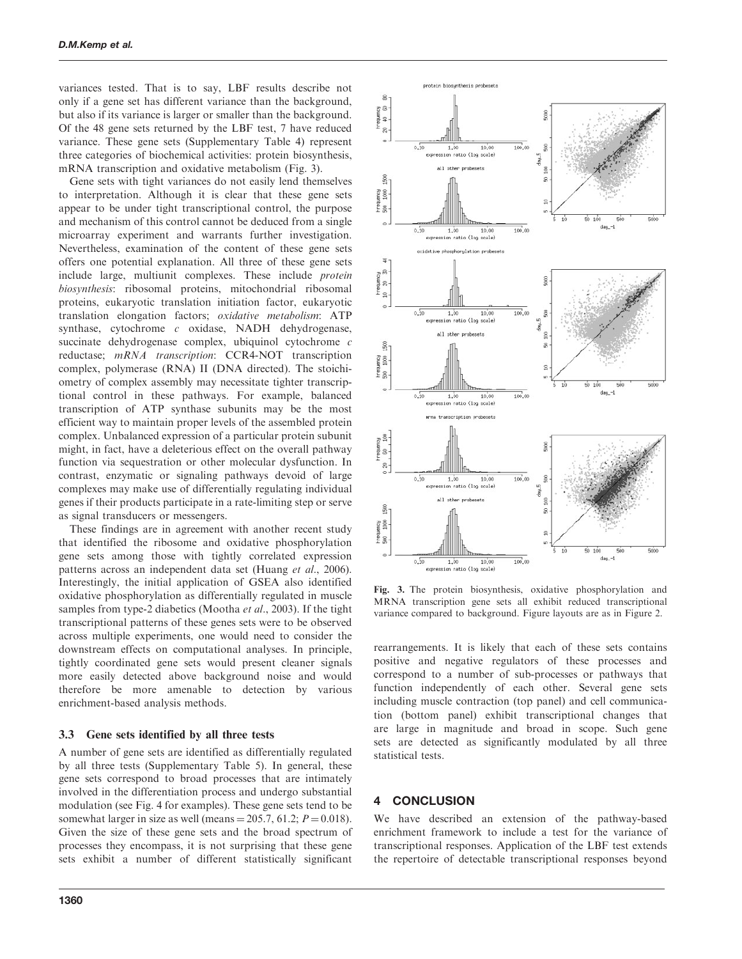variances tested. That is to say, LBF results describe not only if a gene set has different variance than the background, but also if its variance is larger or smaller than the background. Of the 48 gene sets returned by the LBF test, 7 have reduced variance. These gene sets (Supplementary Table 4) represent three categories of biochemical activities: protein biosynthesis, mRNA transcription and oxidative metabolism (Fig. 3).

Gene sets with tight variances do not easily lend themselves to interpretation. Although it is clear that these gene sets appear to be under tight transcriptional control, the purpose and mechanism of this control cannot be deduced from a single microarray experiment and warrants further investigation. Nevertheless, examination of the content of these gene sets offers one potential explanation. All three of these gene sets include large, multiunit complexes. These include protein biosynthesis: ribosomal proteins, mitochondrial ribosomal proteins, eukaryotic translation initiation factor, eukaryotic translation elongation factors; oxidative metabolism: ATP synthase, cytochrome c oxidase, NADH dehydrogenase, succinate dehydrogenase complex, ubiquinol cytochrome c reductase; mRNA transcription: CCR4-NOT transcription complex, polymerase (RNA) II (DNA directed). The stoichiometry of complex assembly may necessitate tighter transcriptional control in these pathways. For example, balanced transcription of ATP synthase subunits may be the most efficient way to maintain proper levels of the assembled protein complex. Unbalanced expression of a particular protein subunit might, in fact, have a deleterious effect on the overall pathway function via sequestration or other molecular dysfunction. In contrast, enzymatic or signaling pathways devoid of large complexes may make use of differentially regulating individual genes if their products participate in a rate-limiting step or serve as signal transducers or messengers.

These findings are in agreement with another recent study that identified the ribosome and oxidative phosphorylation gene sets among those with tightly correlated expression patterns across an independent data set (Huang et al., 2006). Interestingly, the initial application of GSEA also identified oxidative phosphorylation as differentially regulated in muscle samples from type-2 diabetics (Mootha et al., 2003). If the tight transcriptional patterns of these genes sets were to be observed across multiple experiments, one would need to consider the downstream effects on computational analyses. In principle, tightly coordinated gene sets would present cleaner signals more easily detected above background noise and would therefore be more amenable to detection by various enrichment-based analysis methods.

#### 3.3 Gene sets identified by all three tests

A number of gene sets are identified as differentially regulated by all three tests (Supplementary Table 5). In general, these gene sets correspond to broad processes that are intimately involved in the differentiation process and undergo substantial modulation (see Fig. 4 for examples). These gene sets tend to be somewhat larger in size as well (means =  $205.7$ , 61.2;  $P = 0.018$ ). Given the size of these gene sets and the broad spectrum of processes they encompass, it is not surprising that these gene sets exhibit a number of different statistically significant



protein hiorietheair probacate

Fig. 3. The protein biosynthesis, oxidative phosphorylation and MRNA transcription gene sets all exhibit reduced transcriptional variance compared to background. Figure layouts are as in Figure 2.

rearrangements. It is likely that each of these sets contains positive and negative regulators of these processes and correspond to a number of sub-processes or pathways that function independently of each other. Several gene sets including muscle contraction (top panel) and cell communication (bottom panel) exhibit transcriptional changes that are large in magnitude and broad in scope. Such gene sets are detected as significantly modulated by all three statistical tests.

#### 4 CONCLUSION

We have described an extension of the pathway-based enrichment framework to include a test for the variance of transcriptional responses. Application of the LBF test extends the repertoire of detectable transcriptional responses beyond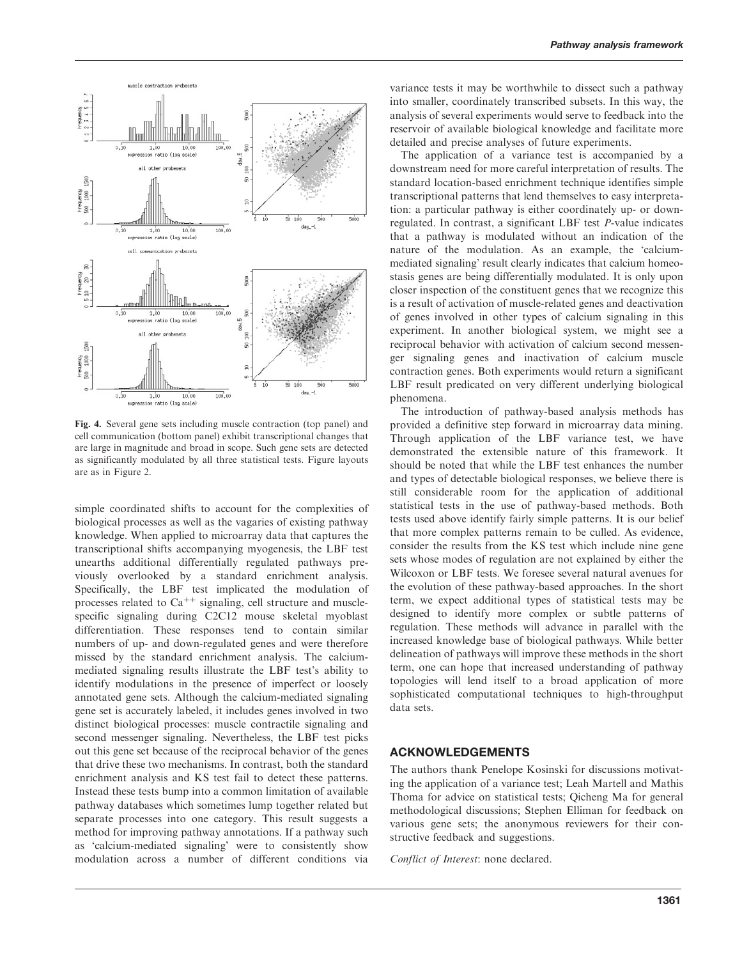

Fig. 4. Several gene sets including muscle contraction (top panel) and cell communication (bottom panel) exhibit transcriptional changes that are large in magnitude and broad in scope. Such gene sets are detected as significantly modulated by all three statistical tests. Figure layouts are as in Figure 2.

simple coordinated shifts to account for the complexities of biological processes as well as the vagaries of existing pathway knowledge. When applied to microarray data that captures the transcriptional shifts accompanying myogenesis, the LBF test unearths additional differentially regulated pathways previously overlooked by a standard enrichment analysis. Specifically, the LBF test implicated the modulation of processes related to  $Ca^{++}$  signaling, cell structure and musclespecific signaling during C2C12 mouse skeletal myoblast differentiation. These responses tend to contain similar numbers of up- and down-regulated genes and were therefore missed by the standard enrichment analysis. The calciummediated signaling results illustrate the LBF test's ability to identify modulations in the presence of imperfect or loosely annotated gene sets. Although the calcium-mediated signaling gene set is accurately labeled, it includes genes involved in two distinct biological processes: muscle contractile signaling and second messenger signaling. Nevertheless, the LBF test picks out this gene set because of the reciprocal behavior of the genes that drive these two mechanisms. In contrast, both the standard enrichment analysis and KS test fail to detect these patterns. Instead these tests bump into a common limitation of available pathway databases which sometimes lump together related but separate processes into one category. This result suggests a method for improving pathway annotations. If a pathway such as 'calcium-mediated signaling' were to consistently show modulation across a number of different conditions via

variance tests it may be worthwhile to dissect such a pathway into smaller, coordinately transcribed subsets. In this way, the analysis of several experiments would serve to feedback into the reservoir of available biological knowledge and facilitate more detailed and precise analyses of future experiments.

The application of a variance test is accompanied by a downstream need for more careful interpretation of results. The standard location-based enrichment technique identifies simple transcriptional patterns that lend themselves to easy interpretation: a particular pathway is either coordinately up- or downregulated. In contrast, a significant LBF test P-value indicates that a pathway is modulated without an indication of the nature of the modulation. As an example, the 'calciummediated signaling' result clearly indicates that calcium homeostasis genes are being differentially modulated. It is only upon closer inspection of the constituent genes that we recognize this is a result of activation of muscle-related genes and deactivation of genes involved in other types of calcium signaling in this experiment. In another biological system, we might see a reciprocal behavior with activation of calcium second messenger signaling genes and inactivation of calcium muscle contraction genes. Both experiments would return a significant LBF result predicated on very different underlying biological phenomena.

The introduction of pathway-based analysis methods has provided a definitive step forward in microarray data mining. Through application of the LBF variance test, we have demonstrated the extensible nature of this framework. It should be noted that while the LBF test enhances the number and types of detectable biological responses, we believe there is still considerable room for the application of additional statistical tests in the use of pathway-based methods. Both tests used above identify fairly simple patterns. It is our belief that more complex patterns remain to be culled. As evidence, consider the results from the KS test which include nine gene sets whose modes of regulation are not explained by either the Wilcoxon or LBF tests. We foresee several natural avenues for the evolution of these pathway-based approaches. In the short term, we expect additional types of statistical tests may be designed to identify more complex or subtle patterns of regulation. These methods will advance in parallel with the increased knowledge base of biological pathways. While better delineation of pathways will improve these methods in the short term, one can hope that increased understanding of pathway topologies will lend itself to a broad application of more sophisticated computational techniques to high-throughput data sets.

#### ACKNOWLEDGEMENTS

The authors thank Penelope Kosinski for discussions motivating the application of a variance test; Leah Martell and Mathis Thoma for advice on statistical tests; Qicheng Ma for general methodological discussions; Stephen Elliman for feedback on various gene sets; the anonymous reviewers for their constructive feedback and suggestions.

Conflict of Interest: none declared.